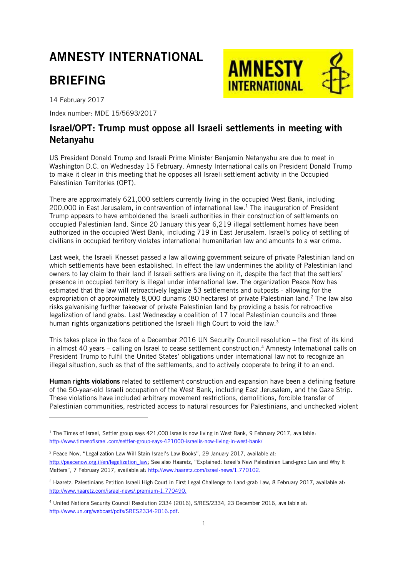## AMNESTY INTERNATIONAL

## BRIEFING

14 February 2017

-

Index number: MDE 15/5693/2017

# **AMNESTY INTERNATIONAL**

### Israel/OPT: Trump must oppose all Israeli settlements in meeting with Netanyahu

US President Donald Trump and Israeli Prime Minister Benjamin Netanyahu are due to meet in Washington D.C. on Wednesday 15 February. Amnesty International calls on President Donald Trump to make it clear in this meeting that he opposes all Israeli settlement activity in the Occupied Palestinian Territories (OPT).

There are approximately 621,000 settlers currently living in the occupied West Bank, including 200,000 in East Jerusalem, in contravention of international law.<sup>1</sup> The inauguration of President Trump appears to have emboldened the Israeli authorities in their construction of settlements on occupied Palestinian land. Since 20 January this year 6,219 illegal settlement homes have been authorized in the occupied West Bank, including 719 in East Jerusalem. Israel's policy of settling of civilians in occupied territory violates international humanitarian law and amounts to a war crime.

Last week, the Israeli Knesset passed a law allowing government seizure of private Palestinian land on which settlements have been established. In effect the law undermines the ability of Palestinian land owners to lay claim to their land if Israeli settlers are living on it, despite the fact that the settlers' presence in occupied territory is illegal under international law. The organization Peace Now has estimated that the law will retroactively legalize 53 settlements and outposts - allowing for the expropriation of approximately 8,000 dunams (80 hectares) of private Palestinian land.<sup>2</sup> The law also risks galvanising further takeover of private Palestinian land by providing a basis for retroactive legalization of land grabs. Last Wednesday a coalition of 17 local Palestinian councils and three human rights organizations petitioned the Israeli High Court to void the law.<sup>3</sup>

This takes place in the face of a December 2016 UN Security Council resolution – the first of its kind in almost 40 years – calling on Israel to cease settlement construction.<sup>4</sup> Amnesty International calls on President Trump to fulfil the United States' obligations under international law not to recognize an illegal situation, such as that of the settlements, and to actively cooperate to bring it to an end.

Human rights violations related to settlement construction and expansion have been a defining feature of the 50-year-old Israeli occupation of the West Bank, including East Jerusalem, and the Gaza Strip. These violations have included arbitrary movement restrictions, demolitions, forcible transfer of Palestinian communities, restricted access to natural resources for Palestinians, and unchecked violent

<sup>&</sup>lt;sup>1</sup> The Times of Israel, Settler group says 421,000 Israelis now living in West Bank, 9 February 2017, available: <http://www.timesofisrael.com/settler-group-says-421000-israelis-now-living-in-west-bank/>

<sup>&</sup>lt;sup>2</sup> Peace Now, "Legalization Law Will Stain Israel's Law Books", 29 January 2017, available at: [http://peacenow.org.il/en/legalization\\_law;](http://peacenow.org.il/en/legalization_law) See also Haaretz, "Explained: Israel's New Palestinian Land-grab Law and Why It Matters", 7 February 2017, available at: [http://www.haaretz.com/israel-news/1.770102.](http://www.haaretz.com/israel-news/1.770102)

<sup>&</sup>lt;sup>3</sup> Haaretz, Palestinians Petition Israeli High Court in First Legal Challenge to Land-grab Law, 8 February 2017, available at: [http://www.haaretz.com/israel-news/.premium-1.770490.](http://www.haaretz.com/israel-news/.premium-1.770490)

<sup>4</sup> United Nations Security Council Resolution 2334 (2016), S/RES/2334, 23 December 2016, available at: [http://www.un.org/webcast/pdfs/SRES2334-2016.pdf.](http://www.un.org/webcast/pdfs/SRES2334-2016.pdf)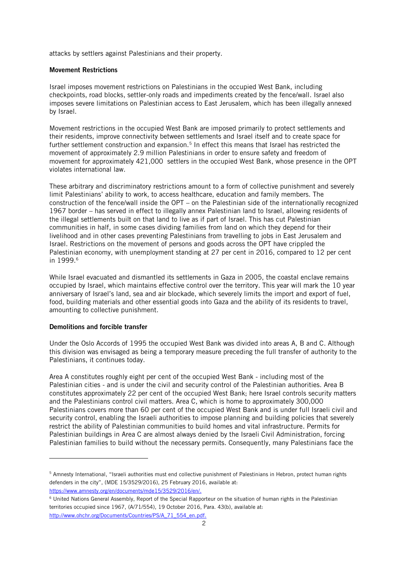attacks by settlers against Palestinians and their property.

#### Movement Restrictions

Israel imposes movement restrictions on Palestinians in the occupied West Bank, including checkpoints, road blocks, settler-only roads and impediments created by the fence/wall. Israel also imposes severe limitations on Palestinian access to East Jerusalem, which has been illegally annexed by Israel.

Movement restrictions in the occupied West Bank are imposed primarily to protect settlements and their residents, improve connectivity between settlements and Israel itself and to create space for further settlement construction and expansion.<sup>5</sup> In effect this means that Israel has restricted the movement of approximately 2.9 million Palestinians in order to ensure safety and freedom of movement for approximately 421,000 settlers in the occupied West Bank, whose presence in the OPT violates international law.

These arbitrary and discriminatory restrictions amount to a form of collective punishment and severely limit Palestinians' ability to work, to access healthcare, education and family members. The construction of the fence/wall inside the OPT – on the Palestinian side of the internationally recognized 1967 border – has served in effect to illegally annex Palestinian land to Israel, allowing residents of the illegal settlements built on that land to live as if part of Israel. This has cut Palestinian communities in half, in some cases dividing families from land on which they depend for their livelihood and in other cases preventing Palestinians from travelling to jobs in East Jerusalem and Israel. Restrictions on the movement of persons and goods across the OPT have crippled the Palestinian economy, with unemployment standing at 27 per cent in 2016, compared to 12 per cent in 1999.<sup>6</sup>

While Israel evacuated and dismantled its settlements in Gaza in 2005, the coastal enclave remains occupied by Israel, which maintains effective control over the territory. This year will mark the 10 year anniversary of Israel's land, sea and air blockade, which severely limits the import and export of fuel, food, building materials and other essential goods into Gaza and the ability of its residents to travel, amounting to collective punishment.

#### Demolitions and forcible transfer

-

Under the Oslo Accords of 1995 the occupied West Bank was divided into areas A, B and C. Although this division was envisaged as being a temporary measure preceding the full transfer of authority to the Palestinians, it continues today.

Area A constitutes roughly eight per cent of the occupied West Bank - including most of the Palestinian cities - and is under the civil and security control of the Palestinian authorities. Area B constitutes approximately 22 per cent of the occupied West Bank; here Israel controls security matters and the Palestinians control civil matters. Area C, which is home to approximately 300,000 Palestinians covers more than 60 per cent of the occupied West Bank and is under full Israeli civil and security control, enabling the Israeli authorities to impose planning and building policies that severely restrict the ability of Palestinian communities to build homes and vital infrastructure. Permits for Palestinian buildings in Area C are almost always denied by the Israeli Civil Administration, forcing Palestinian families to build without the necessary permits. Consequently, many Palestinians face the

[https://www.amnesty.org/en/documents/mde15/3529/2016/en/.](https://www.amnesty.org/en/documents/mde15/3529/2016/en/)

<sup>5</sup> Amnesty International, "Israeli authorities must end collective punishment of Palestinians in Hebron, protect human rights defenders in the city", (MDE 15/3529/2016), 25 February 2016, available at:

<sup>6</sup> United Nations General Assembly, Report of the Special Rapporteur on the situation of human rights in the Palestinian territories occupied since 1967, (A/71/554), 19 October 2016, Para. 43(b), available at: [http://www.ohchr.org/Documents/Countries/PS/A\\_71\\_554\\_en.pdf.](http://www.ohchr.org/Documents/Countries/PS/A_71_554_en.pdf)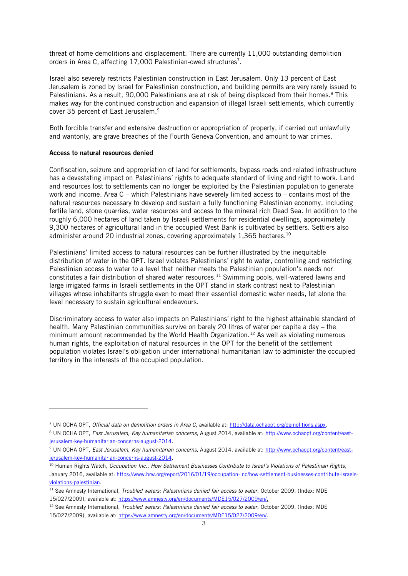threat of home demolitions and displacement. There are currently 11,000 outstanding demolition orders in Area C, affecting 17,000 Palestinian-owed structures<sup>7</sup>.

Israel also severely restricts Palestinian construction in East Jerusalem. Only 13 percent of East Jerusalem is zoned by Israel for Palestinian construction, and building permits are very rarely issued to Palestinians. As a result, 90,000 Palestinians are at risk of being displaced from their homes.<sup>8</sup> This makes way for the continued construction and expansion of illegal Israeli settlements, which currently cover 35 percent of East Jerusalem. 9

Both forcible transfer and extensive destruction or appropriation of property, if carried out unlawfully and wantonly, are grave breaches of the Fourth Geneva Convention, and amount to war crimes.

#### Access to natural resources denied

-

Confiscation, seizure and appropriation of land for settlements, bypass roads and related infrastructure has a devastating impact on Palestinians' rights to adequate standard of living and right to work. Land and resources lost to settlements can no longer be exploited by the Palestinian population to generate work and income. Area C – which Palestinians have severely limited access to – contains most of the natural resources necessary to develop and sustain a fully functioning Palestinian economy, including fertile land, stone quarries, water resources and access to the mineral rich Dead Sea. In addition to the roughly 6,000 hectares of land taken by Israeli settlements for residential dwellings, approximately 9,300 hectares of agricultural land in the occupied West Bank is cultivated by settlers. Settlers also administer around 20 industrial zones, covering approximately 1,365 hectares.<sup>10</sup>

Palestinians' limited access to natural resources can be further illustrated by the inequitable distribution of water in the OPT. Israel violates Palestinians' right to water, controlling and restricting Palestinian access to water to a level that neither meets the Palestinian population's needs nor constitutes a fair distribution of shared water resources. <sup>11</sup> Swimming pools, well-watered lawns and large irrigated farms in Israeli settlements in the OPT stand in stark contrast next to Palestinian villages whose inhabitants struggle even to meet their essential domestic water needs, let alone the level necessary to sustain agricultural endeavours.

Discriminatory access to water also impacts on Palestinians' right to the highest attainable standard of health. Many Palestinian communities survive on barely 20 litres of water per capita a day – the minimum amount recommended by the World Health Organization.<sup>12</sup> As well as violating numerous human rights, the exploitation of natural resources in the OPT for the benefit of the settlement population violates Israel's obligation under international humanitarian law to administer the occupied territory in the interests of the occupied population.

<sup>12</sup> See Amnesty International, *Troubled waters: Palestinians denied fair access to water*, October 2009, (Index: MDE 15/027/2009), available at: [https://www.amnesty.org/en/documents/MDE15/027/2009/en/.](https://www.amnesty.org/en/documents/MDE15/027/2009/en/)

<sup>7</sup> UN OCHA OPT, *Official data on demolition orders in Area C*, available at: [http://data.ochaopt.org/demolitions.aspx.](http://data.ochaopt.org/demolitions.aspx)

<sup>8</sup> UN OCHA OPT, *East Jerusalem, Key humanitarian concerns*, August 2014, available at: [http://www.ochaopt.org/content/east](http://www.ochaopt.org/content/east-jerusalem-key-humanitarian-concerns-august-2014)[jerusalem-key-humanitarian-concerns-august-2014.](http://www.ochaopt.org/content/east-jerusalem-key-humanitarian-concerns-august-2014)

<sup>9</sup> UN OCHA OPT, *East Jerusalem, Key humanitarian concerns*, August 2014, available at: [http://www.ochaopt.org/content/east](http://www.ochaopt.org/content/east-jerusalem-key-humanitarian-concerns-august-2014)[jerusalem-key-humanitarian-concerns-august-2014.](http://www.ochaopt.org/content/east-jerusalem-key-humanitarian-concerns-august-2014)

<sup>10</sup> Human Rights Watch, *Occupation Inc., How Settlement Businesses Contribute to Israel's Violations of Palestinian Rights*, January 2016, available at: [https://www.hrw.org/report/2016/01/19/occupation-inc/how-settlement-businesses-contribute-israels](https://www.hrw.org/report/2016/01/19/occupation-inc/how-settlement-businesses-contribute-israels-violations-palestinian)[violations-palestinian.](https://www.hrw.org/report/2016/01/19/occupation-inc/how-settlement-businesses-contribute-israels-violations-palestinian)

<sup>&</sup>lt;sup>11</sup> See Amnesty International, *Troubled waters: Palestinians denied fair access to water*, October 2009, (Index: MDE 15/027/2009), available at[: https://www.amnesty.org/en/documents/MDE15/027/2009/en/.](https://www.amnesty.org/en/documents/MDE15/027/2009/en/)